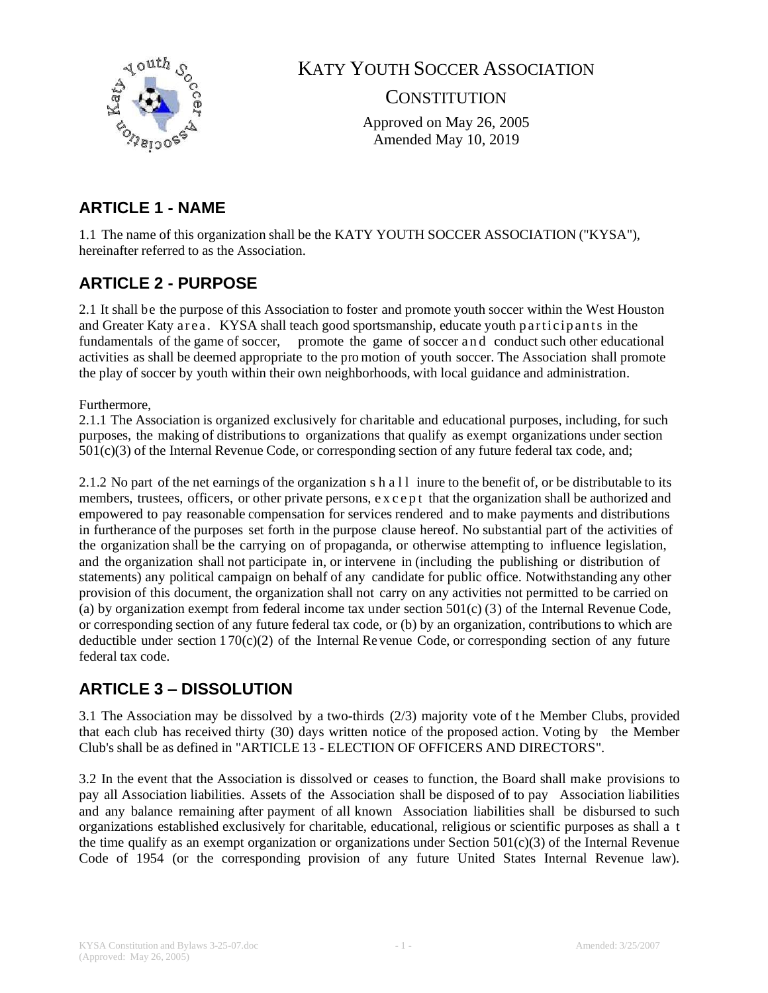

KATY YOUTH SOCCER ASSOCIATION

**CONSTITUTION** 

Approved on May 26, 2005 Amended May 10, 2019

# **ARTICLE 1 - NAME**

1.1 The name of this organization shall be the KATY YOUTH SOCCER ASSOCIATION ("KYSA"), hereinafter referred to as the Association.

# **ARTICLE 2 - PURPOSE**

2.1 It shall be the purpose of this Association to foster and promote youth soccer within the West Houston and Greater Katy area. KYSA shall teach good sportsmanship, educate youth participants in the fundamentals of the game of soccer, promote the game of soccer and conduct such other educational activities as shall be deemed appropriate to the pro motion of youth soccer. The Association shall promote the play of soccer by youth within their own neighborhoods, with local guidance and administration.

#### Furthermore,

2.1.1 The Association is organized exclusively for charitable and educational purposes, including, for such purposes, the making of distributions to organizations that qualify as exempt organizations under section 501(c)(3) of the Internal Revenue Code, or corresponding section of any future federal tax code, and;

2.1.2 No part of the net earnings of the organization s h a  $11$  inure to the benefit of, or be distributable to its members, trustees, officers, or other private persons, except that the organization shall be authorized and empowered to pay reasonable compensation for services rendered and to make payments and distributions in furtherance of the purposes set forth in the purpose clause hereof. No substantial part of the activities of the organization shall be the carrying on of propaganda, or otherwise attempting to influence legislation, and the organization shall not participate in, or intervene in (including the publishing or distribution of statements) any political campaign on behalf of any candidate for public office. Notwithstanding any other provision of this document, the organization shall not carry on any activities not permitted to be carried on (a) by organization exempt from federal income tax under section  $501(c)$  (3) of the Internal Revenue Code, or corresponding section of any future federal tax code, or (b) by an organization, contributions to which are deductible under section  $170(c)(2)$  of the Internal Revenue Code, or corresponding section of any future federal tax code.

## **ARTICLE 3 – DISSOLUTION**

3.1 The Association may be dissolved by a two-thirds (2/3) majority vote of t he Member Clubs, provided that each club has received thirty (30) days written notice of the proposed action. Voting by the Member Club's shall be as defined in "ARTICLE 13 - ELECTION OF OFFICERS AND DIRECTORS".

3.2 In the event that the Association is dissolved or ceases to function, the Board shall make provisions to pay all Association liabilities. Assets of the Association shall be disposed of to pay Association liabilities and any balance remaining after payment of all known Association liabilities shall be disbursed to such organizations established exclusively for charitable, educational, religious or scientific purposes as shall a t the time qualify as an exempt organization or organizations under Section  $501(c)(3)$  of the Internal Revenue Code of 1954 (or the corresponding provision of any future United States Internal Revenue law).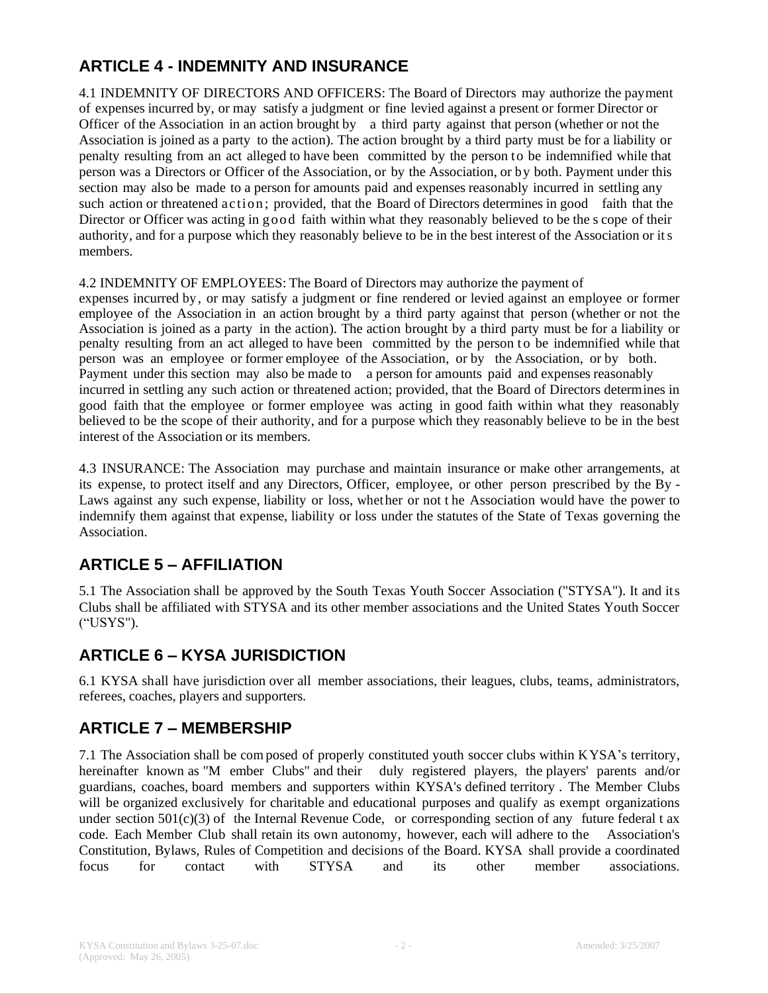# **ARTICLE 4 - INDEMNITY AND INSURANCE**

4.1 INDEMNITY OF DIRECTORS AND OFFICERS: The Board of Directors may authorize the payment of expenses incurred by, or may satisfy a judgment or fine levied against a present or former Director or Officer of the Association in an action brought by a third party against that person (whether or not the Association is joined as a party to the action). The action brought by a third party must be for a liability or penalty resulting from an act alleged to have been committed by the person to be indemnified while that person was a Directors or Officer of the Association, or by the Association, or by both. Payment under this section may also be made to a person for amounts paid and expenses reasonably incurred in settling any such action or threatened action ; provided, that the Board of Directors determines in good faith that the Director or Officer was acting in good faith within what they reasonably believed to be the s cope of their authority, and for a purpose which they reasonably believe to be in the best interest of the Association or its members.

#### 4.2 INDEMNITY OF EMPLOYEES: The Board of Directors may authorize the payment of

expenses incurred by , or may satisfy a judgment or fine rendered or levied against an employee or former employee of the Association in an action brought by a third party against that person (whether or not the Association is joined as a party in the action). The action brought by a third party must be for a liability or penalty resulting from an act alleged to have been committed by the person to be indemnified while that person was an employee or former employee of the Association, or by the Association, or by both. Payment under this section may also be made to a person for amounts paid and expenses reasonably incurred in settling any such action or threatened action; provided, that the Board of Directors determines in good faith that the employee or former employee was acting in good faith within what they reasonably believed to be the scope of their authority, and for a purpose which they reasonably believe to be in the best interest of the Association or its members.

4.3 INSURANCE: The Association may purchase and maintain insurance or make other arrangements, at its expense, to protect itself and any Directors, Officer, employee, or other person prescribed by the By - Laws against any such expense, liability or loss, whether or not t he Association would have the power to indemnify them against that expense, liability or loss under the statutes of the State of Texas governing the Association.

## **ARTICLE 5 – AFFILIATION**

5.1 The Association shall be approved by the South Texas Youth Soccer Association ("STYSA"). It and its Clubs shall be affiliated with STYSA and its other member associations and the United States Youth Soccer ("USYS").

## **ARTICLE 6 – KYSA JURISDICTION**

6.1 KYSA shall have jurisdiction over all member associations, their leagues, clubs, teams, administrators, referees, coaches, players and supporters.

### **ARTICLE 7 – MEMBERSHIP**

7.1 The Association shall be com posed of properly constituted youth soccer clubs within KYSA's territory, hereinafter known as "M ember Clubs" and their duly registered players, the players' parents and/or guardians, coaches, board members and supporters within KYSA's defined territory . The Member Clubs will be organized exclusively for charitable and educational purposes and qualify as exempt organizations under section  $501(c)(3)$  of the Internal Revenue Code, or corresponding section of any future federal t ax code. Each Member Club shall retain its own autonomy, however, each will adhere to the Association's Constitution, Bylaws, Rules of Competition and decisions of the Board. KYSA shall provide a coordinated focus for contact with STYSA and its other member associations.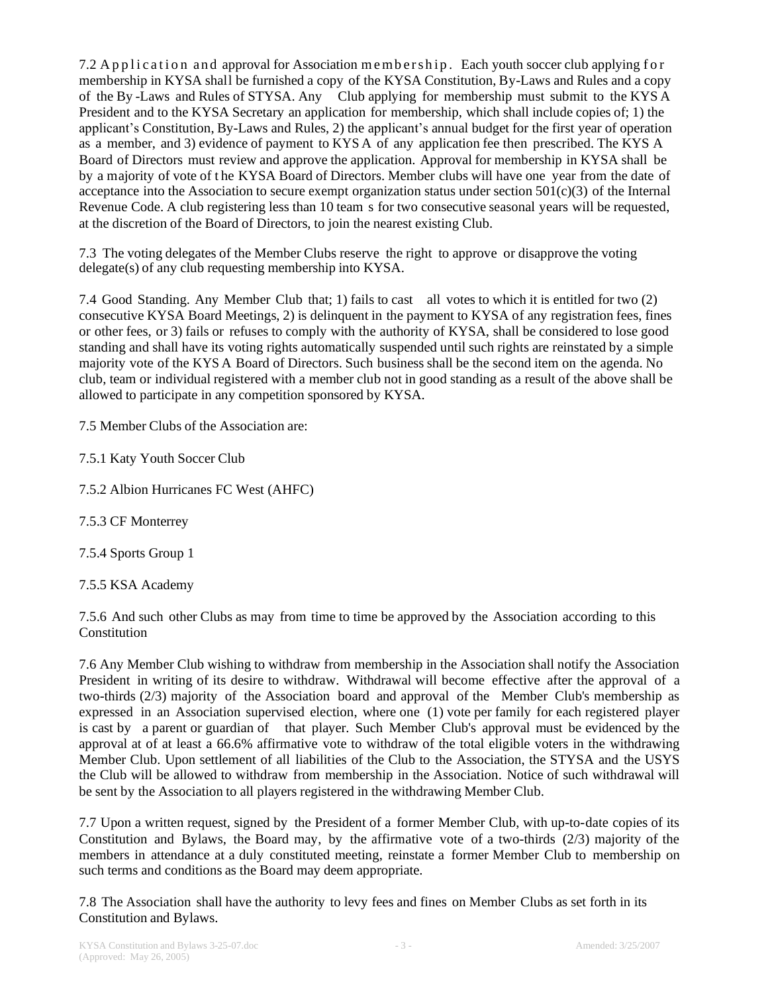7.2 A p p lication and approval for Association m e m b e r s h ip . Each youth soccer club applying f or membership in KYSA shall be furnished a copy of the KYSA Constitution, By-Laws and Rules and a copy of the By -Laws and Rules of STYSA. Any Club applying for membership must submit to the KYS A President and to the KYSA Secretary an application for membership, which shall include copies of; 1) the applicant's Constitution, By-Laws and Rules, 2) the applicant's annual budget for the first year of operation as a member, and 3) evidence of payment to KYS A of any application fee then prescribed. The KYS A Board of Directors must review and approve the application. Approval for membership in KYSA shall be by a majority of vote of t he KYSA Board of Directors. Member clubs will have one year from the date of acceptance into the Association to secure exempt organization status under section  $501(c)(3)$  of the Internal Revenue Code. A club registering less than 10 team s for two consecutive seasonal years will be requested, at the discretion of the Board of Directors, to join the nearest existing Club.

7.3 The voting delegates of the Member Clubs reserve the right to approve or disapprove the voting delegate(s) of any club requesting membership into KYSA.

7.4 Good Standing. Any Member Club that; 1) fails to cast all votes to which it is entitled for two (2) consecutive KYSA Board Meetings, 2) is delinquent in the payment to KYSA of any registration fees, fines or other fees, or 3) fails or refuses to comply with the authority of KYSA, shall be considered to lose good standing and shall have its voting rights automatically suspended until such rights are reinstated by a simple majority vote of the KYS A Board of Directors. Such business shall be the second item on the agenda. No club, team or individual registered with a member club not in good standing as a result of the above shall be allowed to participate in any competition sponsored by KYSA.

7.5 Member Clubs of the Association are:

7.5.1 Katy Youth Soccer Club

7.5.2 Albion Hurricanes FC West (AHFC)

7.5.3 CF Monterrey

7.5.4 Sports Group 1

7.5.5 KSA Academy

7.5.6 And such other Clubs as may from time to time be approved by the Association according to this Constitution

7.6 Any Member Club wishing to withdraw from membership in the Association shall notify the Association President in writing of its desire to withdraw. Withdrawal will become effective after the approval of a two-thirds (2/3) majority of the Association board and approval of the Member Club's membership as expressed in an Association supervised election, where one (1) vote per family for each registered player is cast by a parent or guardian of that player. Such Member Club's approval must be evidenced by the approval at of at least a 66.6% affirmative vote to withdraw of the total eligible voters in the withdrawing Member Club. Upon settlement of all liabilities of the Club to the Association, the STYSA and the USYS the Club will be allowed to withdraw from membership in the Association. Notice of such withdrawal will be sent by the Association to all players registered in the withdrawing Member Club.

7.7 Upon a written request, signed by the President of a former Member Club, with up-to-date copies of its Constitution and Bylaws, the Board may, by the affirmative vote of a two-thirds (2/3) majority of the members in attendance at a duly constituted meeting, reinstate a former Member Club to membership on such terms and conditions as the Board may deem appropriate.

7.8 The Association shall have the authority to levy fees and fines on Member Clubs as set forth in its Constitution and Bylaws.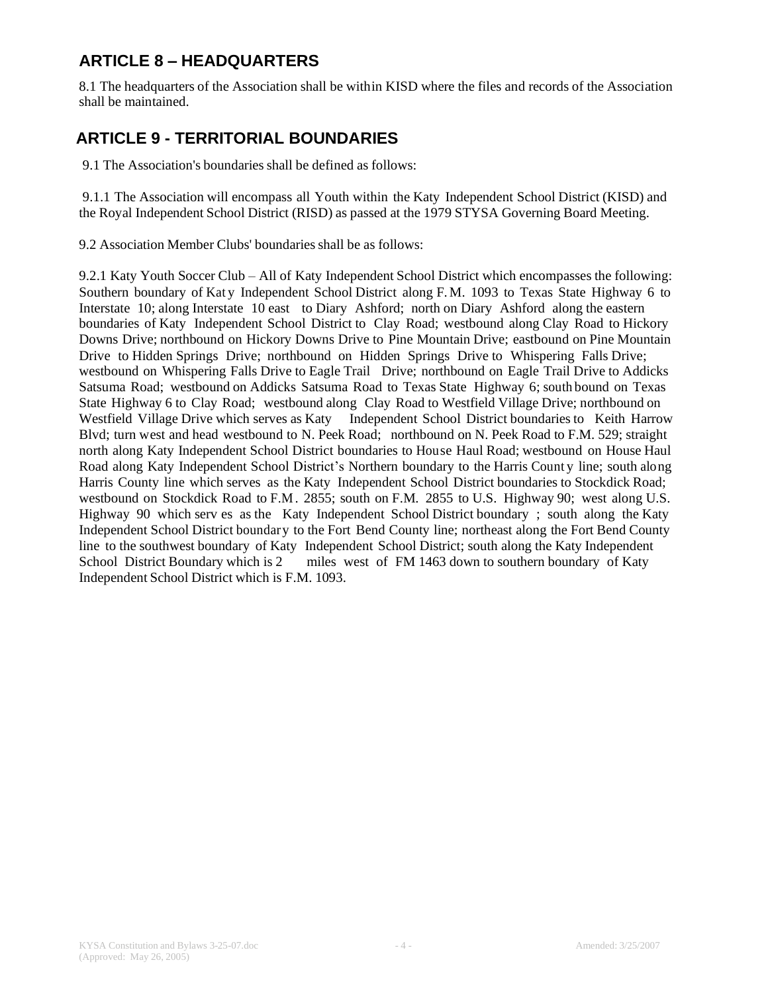# **ARTICLE 8 – HEADQUARTERS**

8.1 The headquarters of the Association shall be within KISD where the files and records of the Association shall be maintained.

### **ARTICLE 9 - TERRITORIAL BOUNDARIES**

9.1 The Association's boundaries shall be defined as follows:

9.1.1 The Association will encompass all Youth within the Katy Independent School District (KISD) and the Royal Independent School District (RISD) as passed at the 1979 STYSA Governing Board Meeting.

9.2 Association Member Clubs' boundaries shall be as follows:

9.2.1 Katy Youth Soccer Club – All of Katy Independent School District which encompasses the following: Southern boundary of Katy Independent School District along F.M. 1093 to Texas State Highway 6 to Interstate 10; along Interstate 10 east to Diary Ashford; north on Diary Ashford along the eastern boundaries of Katy Independent School District to Clay Road; westbound along Clay Road to Hickory Downs Drive; northbound on Hickory Downs Drive to Pine Mountain Drive; eastbound on Pine Mountain Drive to Hidden Springs Drive; northbound on Hidden Springs Drive to Whispering Falls Drive; westbound on Whispering Falls Drive to Eagle Trail Drive; northbound on Eagle Trail Drive to Addicks Satsuma Road; westbound on Addicks Satsuma Road to Texas State Highway 6; south bound on Texas State Highway 6 to Clay Road; westbound along Clay Road to Westfield Village Drive; northbound on Westfield Village Drive which serves as Katy Independent School District boundaries to Keith Harrow Blvd; turn west and head westbound to N. Peek Road; northbound on N. Peek Road to F.M. 529; straight north along Katy Independent School District boundaries to House Haul Road; westbound on House Haul Road along Katy Independent School District's Northern boundary to the Harris Count y line; south along Harris County line which serves as the Katy Independent School District boundaries to Stockdick Road; westbound on Stockdick Road to F.M. 2855; south on F.M. 2855 to U.S. Highway 90; west along U.S. Highway 90 which serv es as the Katy Independent School District boundary ; south along the Katy Independent School District boundary to the Fort Bend County line; northeast along the Fort Bend County line to the southwest boundary of Katy Independent School District; south along the Katy Independent School District Boundary which is 2 miles west of FM 1463 down to southern boundary of Katy Independent School District which is F.M. 1093.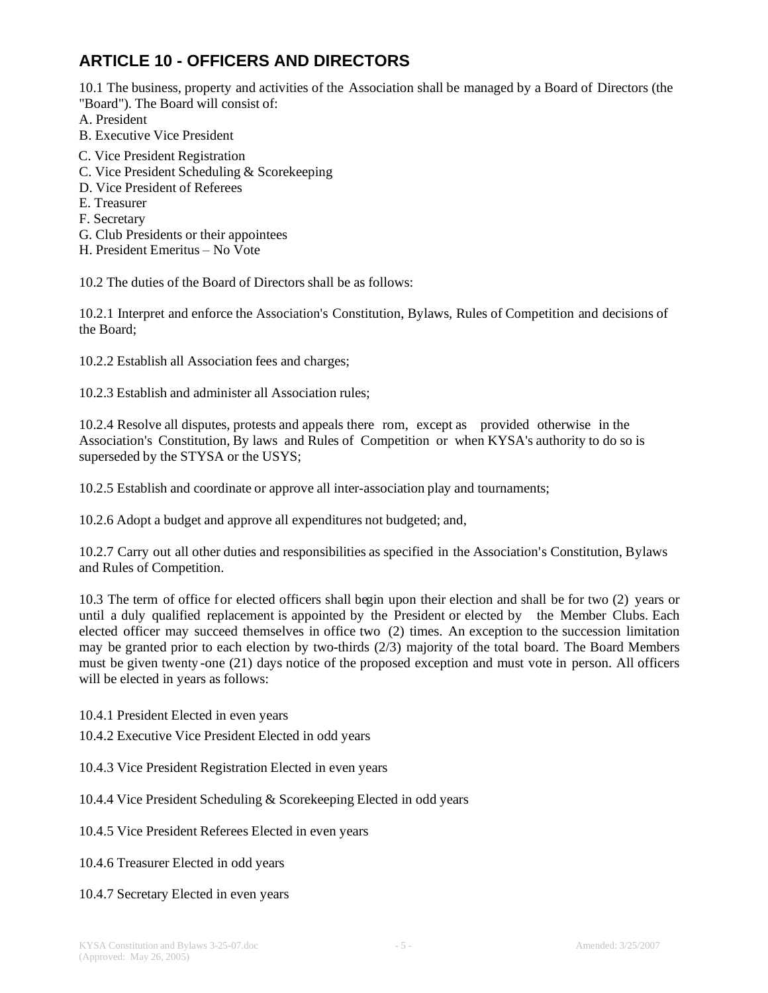# **ARTICLE 10 - OFFICERS AND DIRECTORS**

10.1 The business, property and activities of the Association shall be managed by a Board of Directors (the "Board"). The Board will consist of:

A. President

- B. Executive Vice President
- C. Vice President Registration
- C. Vice President Scheduling & Scorekeeping
- D. Vice President of Referees
- E. Treasurer
- F. Secretary
- G. Club Presidents or their appointees
- H. President Emeritus No Vote

10.2 The duties of the Board of Directors shall be as follows:

10.2.1 Interpret and enforce the Association's Constitution, Bylaws, Rules of Competition and decisions of the Board;

10.2.2 Establish all Association fees and charges;

10.2.3 Establish and administer all Association rules;

10.2.4 Resolve all disputes, protests and appeals there rom, except as provided otherwise in the Association's Constitution, By laws and Rules of Competition or when KYSA's authority to do so is superseded by the STYSA or the USYS;

10.2.5 Establish and coordinate or approve all inter-association play and tournaments;

10.2.6 Adopt a budget and approve all expenditures not budgeted; and,

10.2.7 Carry out all other duties and responsibilities as specified in the Association's Constitution, Bylaws and Rules of Competition.

10.3 The term of office for elected officers shall begin upon their election and shall be for two (2) years or until a duly qualified replacement is appointed by the President or elected by the Member Clubs. Each elected officer may succeed themselves in office two (2) times. An exception to the succession limitation may be granted prior to each election by two-thirds (2/3) majority of the total board. The Board Members must be given twenty -one (21) days notice of the proposed exception and must vote in person. All officers will be elected in years as follows:

10.4.1 President Elected in even years

10.4.2 Executive Vice President Elected in odd years

10.4.3 Vice President Registration Elected in even years

10.4.4 Vice President Scheduling & Scorekeeping Elected in odd years

10.4.5 Vice President Referees Elected in even years

10.4.6 Treasurer Elected in odd years

#### 10.4.7 Secretary Elected in even years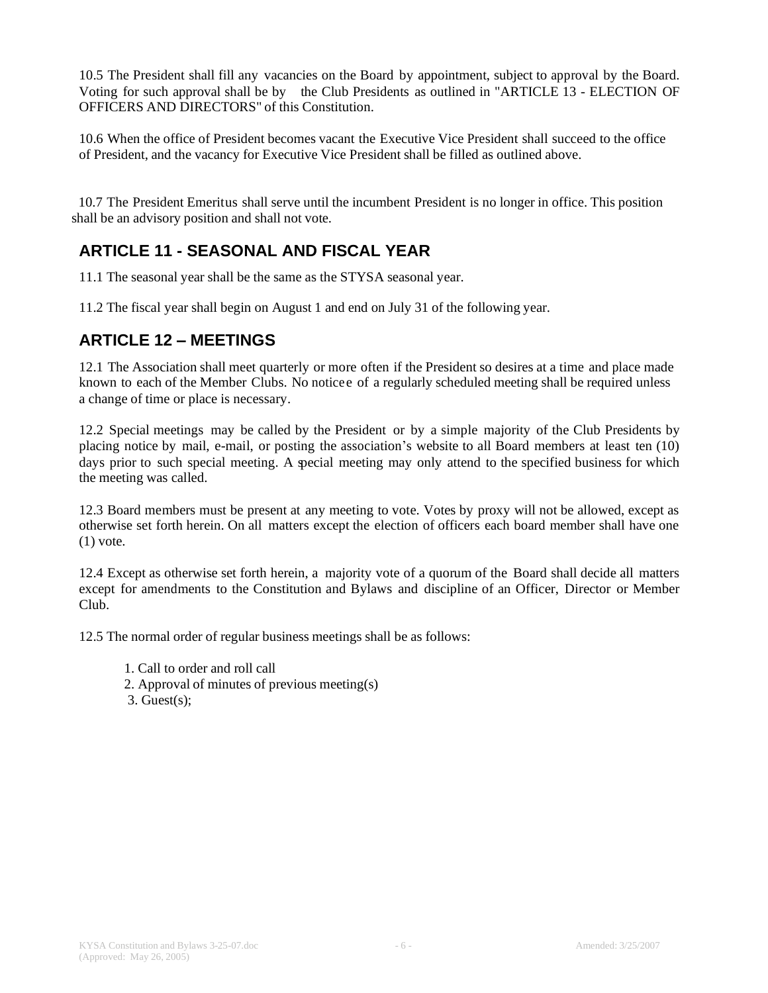10.5 The President shall fill any vacancies on the Board by appointment, subject to approval by the Board. Voting for such approval shall be by the Club Presidents as outlined in "ARTICLE 13 - ELECTION OF OFFICERS AND DIRECTORS" of this Constitution.

10.6 When the office of President becomes vacant the Executive Vice President shall succeed to the office of President, and the vacancy for Executive Vice President shall be filled as outlined above.

 10.7 The President Emeritus shall serve until the incumbent President is no longer in office. This position shall be an advisory position and shall not vote.

## **ARTICLE 11 - SEASONAL AND FISCAL YEAR**

11.1 The seasonal year shall be the same as the STYSA seasonal year.

11.2 The fiscal year shall begin on August 1 and end on July 31 of the following year.

#### **ARTICLE 12 – MEETINGS**

12.1 The Association shall meet quarterly or more often if the President so desires at a time and place made known to each of the Member Clubs. No notice e of a regularly scheduled meeting shall be required unless a change of time or place is necessary.

12.2 Special meetings may be called by the President or by a simple majority of the Club Presidents by placing notice by mail, e-mail, or posting the association's website to all Board members at least ten (10) days prior to such special meeting. A special meeting may only attend to the specified business for which the meeting was called.

12.3 Board members must be present at any meeting to vote. Votes by proxy will not be allowed, except as otherwise set forth herein. On all matters except the election of officers each board member shall have one  $(1)$  vote.

12.4 Except as otherwise set forth herein, a majority vote of a quorum of the Board shall decide all matters except for amendments to the Constitution and Bylaws and discipline of an Officer, Director or Member Club.

12.5 The normal order of regular business meetings shall be as follows:

- 1. Call to order and roll call
- 2. Approval of minutes of previous meeting(s)
- $3.$  Guest $(s)$ ;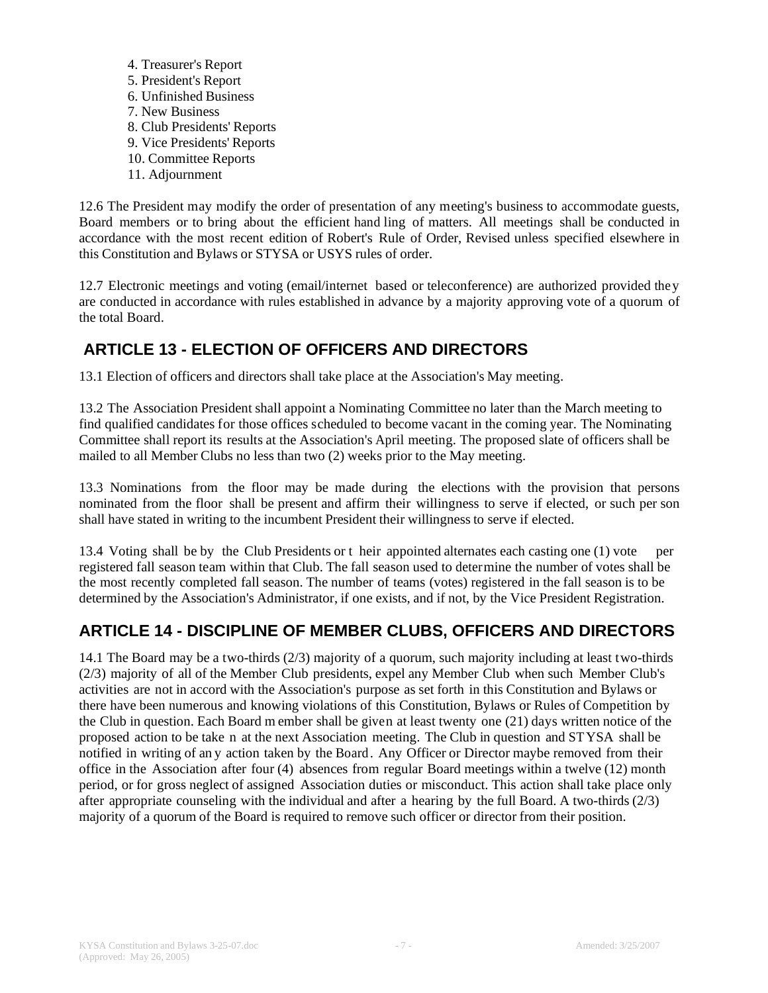4. Treasurer's Report 5. President's Report 6. Unfinished Business 7. New Business 8. Club Presidents' Reports 9. Vice Presidents' Reports 10. Committee Reports 11. Adjournment

12.6 The President may modify the order of presentation of any meeting's business to accommodate guests, Board members or to bring about the efficient hand ling of matters. All meetings shall be conducted in accordance with the most recent edition of Robert's Rule of Order, Revised unless specified elsewhere in this Constitution and Bylaws or STYSA or USYS rules of order.

12.7 Electronic meetings and voting (email/internet based or teleconference) are authorized provided they are conducted in accordance with rules established in advance by a majority approving vote of a quorum of the total Board.

# **ARTICLE 13 - ELECTION OF OFFICERS AND DIRECTORS**

13.1 Election of officers and directors shall take place at the Association's May meeting.

13.2 The Association President shall appoint a Nominating Committee no later than the March meeting to find qualified candidates for those offices scheduled to become vacant in the coming year. The Nominating Committee shall report its results at the Association's April meeting. The proposed slate of officers shall be mailed to all Member Clubs no less than two (2) weeks prior to the May meeting.

13.3 Nominations from the floor may be made during the elections with the provision that persons nominated from the floor shall be present and affirm their willingness to serve if elected, or such per son shall have stated in writing to the incumbent President their willingness to serve if elected.

13.4 Voting shall be by the Club Presidents or t heir appointed alternates each casting one (1) vote per registered fall season team within that Club. The fall season used to determine the number of votes shall be the most recently completed fall season. The number of teams (votes) registered in the fall season is to be determined by the Association's Administrator, if one exists, and if not, by the Vice President Registration.

## **ARTICLE 14 - DISCIPLINE OF MEMBER CLUBS, OFFICERS AND DIRECTORS**

14.1 The Board may be a two-thirds (2/3) majority of a quorum, such majority including at least two-thirds (2/3) majority of all of the Member Club presidents, expel any Member Club when such Member Club's activities are not in accord with the Association's purpose as set forth in this Constitution and Bylaws or there have been numerous and knowing violations of this Constitution, Bylaws or Rules of Competition by the Club in question. Each Board m ember shall be given at least twenty one (21) days written notice of the proposed action to be take n at the next Association meeting. The Club in question and STYSA shall be notified in writing of an y action taken by the Board. Any Officer or Director maybe removed from their office in the Association after four (4) absences from regular Board meetings within a twelve (12) month period, or for gross neglect of assigned Association duties or misconduct. This action shall take place only after appropriate counseling with the individual and after a hearing by the full Board. A two-thirds (2/3) majority of a quorum of the Board is required to remove such officer or director from their position.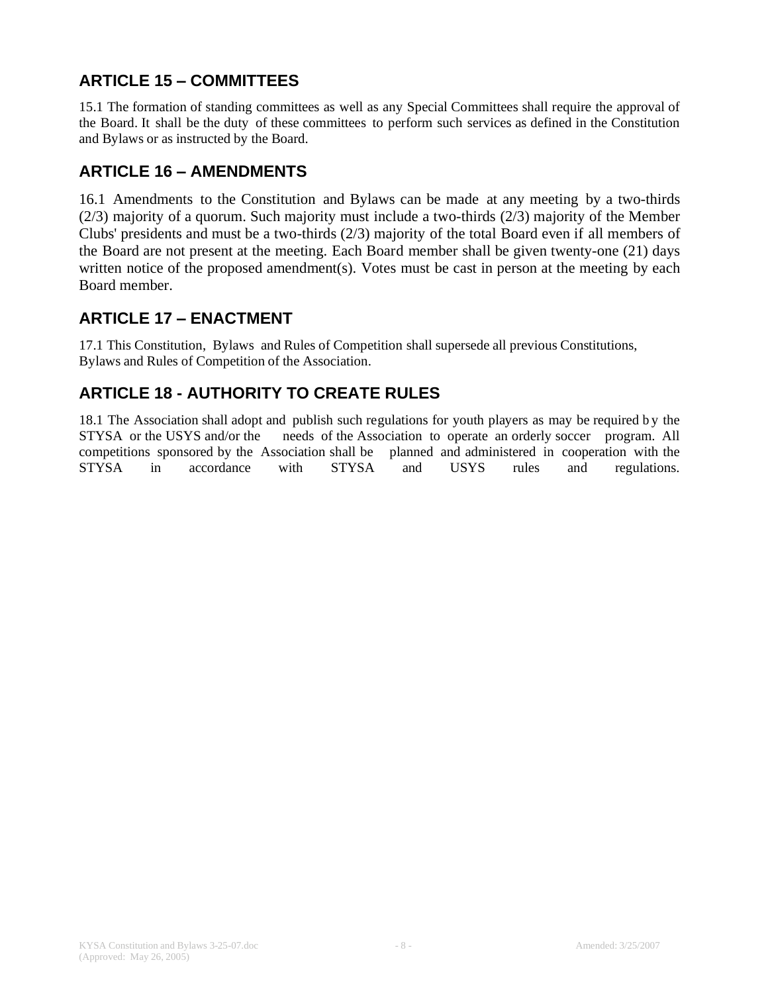# **ARTICLE 15 – COMMITTEES**

15.1 The formation of standing committees as well as any Special Committees shall require the approval of the Board. It shall be the duty of these committees to perform such services as defined in the Constitution and Bylaws or as instructed by the Board.

## **ARTICLE 16 – AMENDMENTS**

16.1 Amendments to the Constitution and Bylaws can be made at any meeting by a two-thirds (2/3) majority of a quorum. Such majority must include a two-thirds (2/3) majority of the Member Clubs' presidents and must be a two-thirds (2/3) majority of the total Board even if all members of the Board are not present at the meeting. Each Board member shall be given twenty-one (21) days written notice of the proposed amendment(s). Votes must be cast in person at the meeting by each Board member.

### **ARTICLE 17 – ENACTMENT**

17.1 This Constitution, Bylaws and Rules of Competition shall supersede all previous Constitutions, Bylaws and Rules of Competition of the Association.

# **ARTICLE 18 - AUTHORITY TO CREATE RULES**

18.1 The Association shall adopt and publish such regulations for youth players as may be required b y the STYSA or the USYS and/or the needs of the Association to operate an orderly soccer program. All competitions sponsored by the Association shall be planned and administered in cooperation with the STYSA in accordance with STYSA and USYS rules and regulations.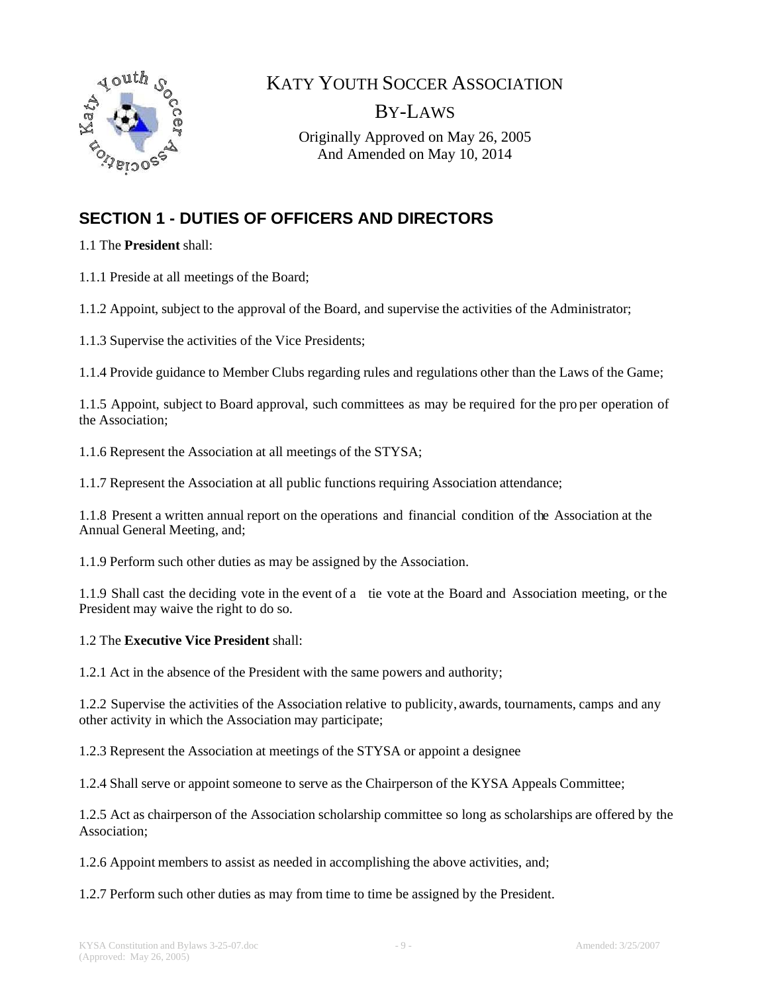

KATY YOUTH SOCCER ASSOCIATION

BY-LAWS

Originally Approved on May 26, 2005 And Amended on May 10, 2014

# **SECTION 1 - DUTIES OF OFFICERS AND DIRECTORS**

1.1 The **President** shall:

1.1.1 Preside at all meetings of the Board;

1.1.2 Appoint, subject to the approval of the Board, and supervise the activities of the Administrator;

1.1.3 Supervise the activities of the Vice Presidents;

1.1.4 Provide guidance to Member Clubs regarding rules and regulations other than the Laws of the Game;

1.1.5 Appoint, subject to Board approval, such committees as may be required for the pro per operation of the Association;

1.1.6 Represent the Association at all meetings of the STYSA;

1.1.7 Represent the Association at all public functions requiring Association attendance;

1.1.8 Present a written annual report on the operations and financial condition of the Association at the Annual General Meeting, and;

1.1.9 Perform such other duties as may be assigned by the Association.

1.1.9 Shall cast the deciding vote in the event of a tie vote at the Board and Association meeting, or the President may waive the right to do so.

#### 1.2 The **Executive Vice President** shall:

1.2.1 Act in the absence of the President with the same powers and authority;

1.2.2 Supervise the activities of the Association relative to publicity, awards, tournaments, camps and any other activity in which the Association may participate;

1.2.3 Represent the Association at meetings of the STYSA or appoint a designee

1.2.4 Shall serve or appoint someone to serve as the Chairperson of the KYSA Appeals Committee;

1.2.5 Act as chairperson of the Association scholarship committee so long as scholarships are offered by the Association;

1.2.6 Appoint members to assist as needed in accomplishing the above activities, and;

1.2.7 Perform such other duties as may from time to time be assigned by the President.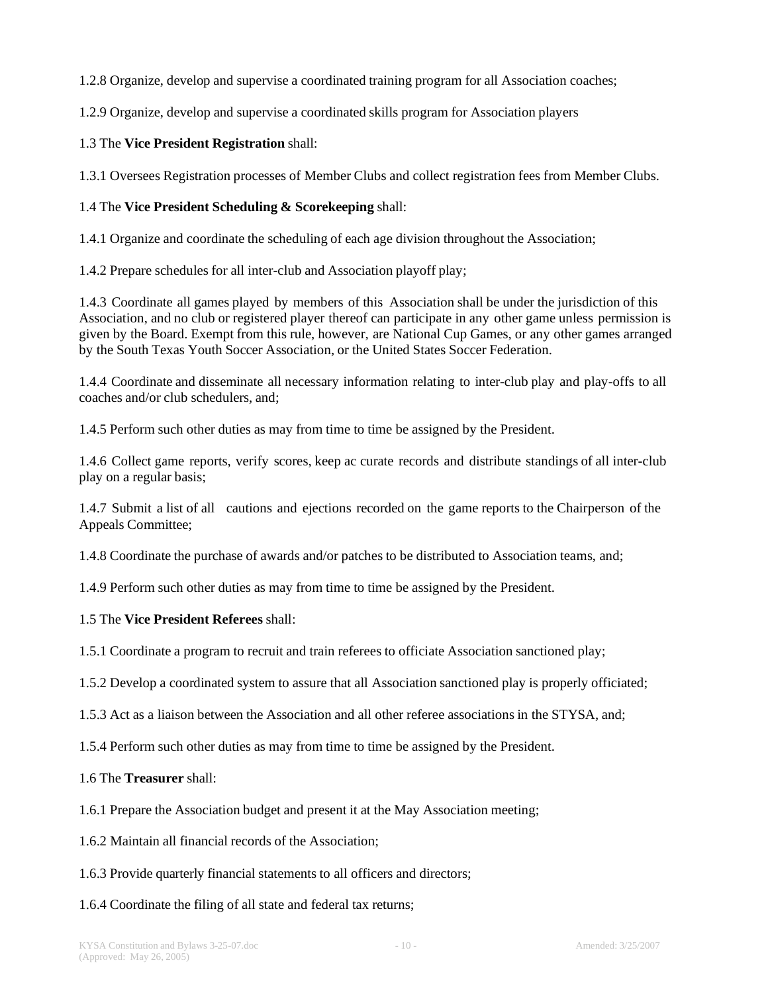1.2.8 Organize, develop and supervise a coordinated training program for all Association coaches;

1.2.9 Organize, develop and supervise a coordinated skills program for Association players

#### 1.3 The **Vice President Registration** shall:

1.3.1 Oversees Registration processes of Member Clubs and collect registration fees from Member Clubs.

#### 1.4 The **Vice President Scheduling & Scorekeeping** shall:

1.4.1 Organize and coordinate the scheduling of each age division throughout the Association;

1.4.2 Prepare schedules for all inter-club and Association playoff play;

1.4.3 Coordinate all games played by members of this Association shall be under the jurisdiction of this Association, and no club or registered player thereof can participate in any other game unless permission is given by the Board. Exempt from this rule, however, are National Cup Games, or any other games arranged by the South Texas Youth Soccer Association, or the United States Soccer Federation.

1.4.4 Coordinate and disseminate all necessary information relating to inter-club play and play-offs to all coaches and/or club schedulers, and;

1.4.5 Perform such other duties as may from time to time be assigned by the President.

1.4.6 Collect game reports, verify scores, keep ac curate records and distribute standings of all inter-club play on a regular basis;

1.4.7 Submit a list of all cautions and ejections recorded on the game reports to the Chairperson of the Appeals Committee;

1.4.8 Coordinate the purchase of awards and/or patches to be distributed to Association teams, and;

1.4.9 Perform such other duties as may from time to time be assigned by the President.

#### 1.5 The **Vice President Referees** shall:

1.5.1 Coordinate a program to recruit and train referees to officiate Association sanctioned play;

1.5.2 Develop a coordinated system to assure that all Association sanctioned play is properly officiated;

1.5.3 Act as a liaison between the Association and all other referee associations in the STYSA, and;

1.5.4 Perform such other duties as may from time to time be assigned by the President.

1.6 The **Treasurer** shall:

1.6.1 Prepare the Association budget and present it at the May Association meeting;

1.6.2 Maintain all financial records of the Association;

1.6.3 Provide quarterly financial statements to all officers and directors;

1.6.4 Coordinate the filing of all state and federal tax returns;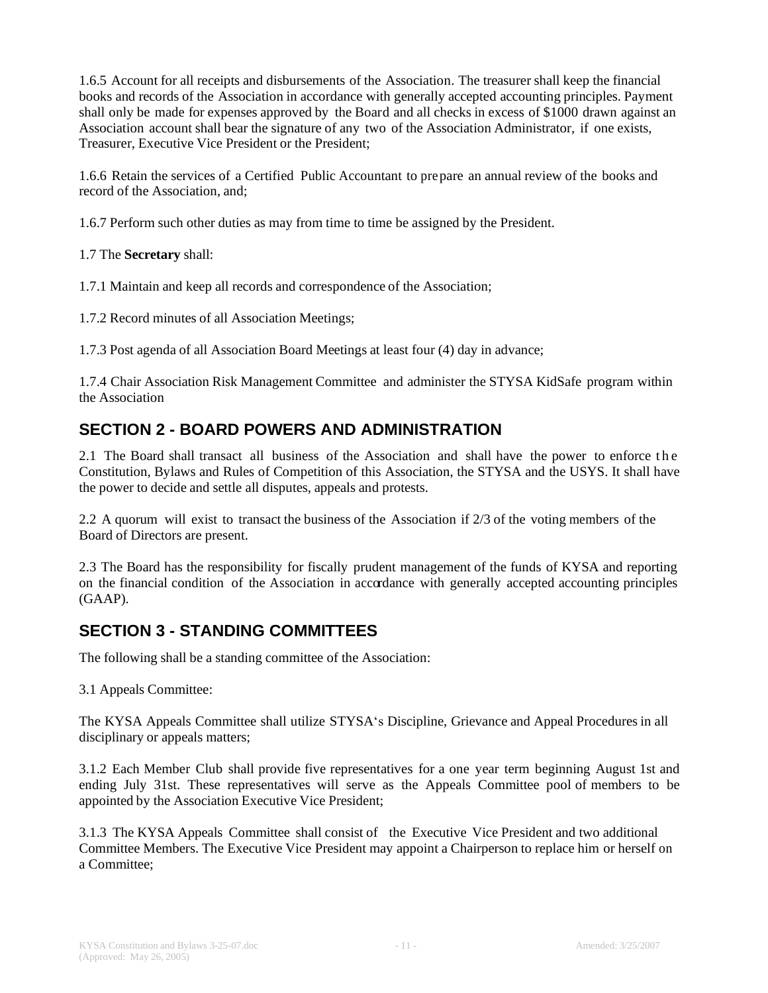1.6.5 Account for all receipts and disbursements of the Association. The treasurer shall keep the financial books and records of the Association in accordance with generally accepted accounting principles. Payment shall only be made for expenses approved by the Board and all checks in excess of \$1000 drawn against an Association account shall bear the signature of any two of the Association Administrator, if one exists, Treasurer, Executive Vice President or the President;

1.6.6 Retain the services of a Certified Public Accountant to prepare an annual review of the books and record of the Association, and;

1.6.7 Perform such other duties as may from time to time be assigned by the President.

1.7 The **Secretary** shall:

1.7.1 Maintain and keep all records and correspondence of the Association;

1.7.2 Record minutes of all Association Meetings;

1.7.3 Post agenda of all Association Board Meetings at least four (4) day in advance;

1.7.4 Chair Association Risk Management Committee and administer the STYSA KidSafe program within the Association

### **SECTION 2 - BOARD POWERS AND ADMINISTRATION**

2.1 The Board shall transact all business of the Association and shall have the power to enforce the Constitution, Bylaws and Rules of Competition of this Association, the STYSA and the USYS. It shall have the power to decide and settle all disputes, appeals and protests.

2.2 A quorum will exist to transact the business of the Association if 2/3 of the voting members of the Board of Directors are present.

2.3 The Board has the responsibility for fiscally prudent management of the funds of KYSA and reporting on the financial condition of the Association in accordance with generally accepted accounting principles (GAAP).

### **SECTION 3 - STANDING COMMITTEES**

The following shall be a standing committee of the Association:

3.1 Appeals Committee:

The KYSA Appeals Committee shall utilize STYSA's Discipline, Grievance and Appeal Procedures in all disciplinary or appeals matters;

3.1.2 Each Member Club shall provide five representatives for a one year term beginning August 1st and ending July 31st. These representatives will serve as the Appeals Committee pool of members to be appointed by the Association Executive Vice President;

3.1.3 The KYSA Appeals Committee shall consist of the Executive Vice President and two additional Committee Members. The Executive Vice President may appoint a Chairperson to replace him or herself on a Committee;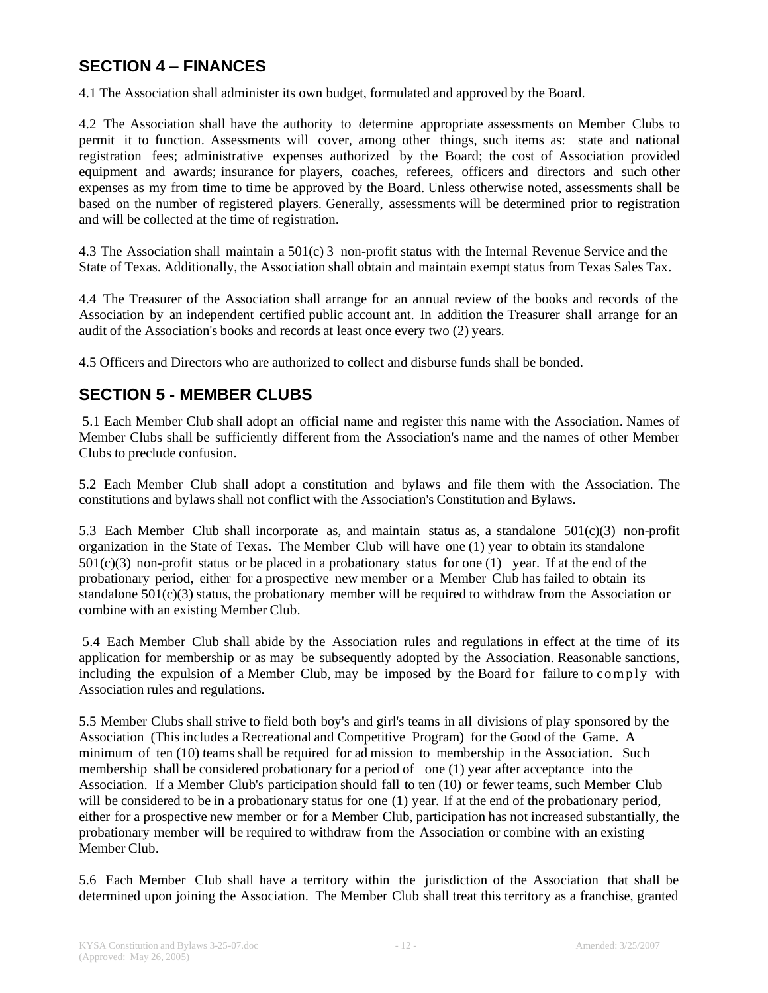#### **SECTION 4 – FINANCES**

4.1 The Association shall administer its own budget, formulated and approved by the Board.

4.2 The Association shall have the authority to determine appropriate assessments on Member Clubs to permit it to function. Assessments will cover, among other things, such items as: state and national registration fees; administrative expenses authorized by the Board; the cost of Association provided equipment and awards; insurance for players, coaches, referees, officers and directors and such other expenses as my from time to time be approved by the Board. Unless otherwise noted, assessments shall be based on the number of registered players. Generally, assessments will be determined prior to registration and will be collected at the time of registration.

4.3 The Association shall maintain a 501(c) 3 non-profit status with the Internal Revenue Service and the State of Texas. Additionally, the Association shall obtain and maintain exempt status from Texas Sales Tax.

4.4 The Treasurer of the Association shall arrange for an annual review of the books and records of the Association by an independent certified public account ant. In addition the Treasurer shall arrange for an audit of the Association's books and records at least once every two (2) years.

4.5 Officers and Directors who are authorized to collect and disburse funds shall be bonded.

### **SECTION 5 - MEMBER CLUBS**

5.1 Each Member Club shall adopt an official name and register this name with the Association. Names of Member Clubs shall be sufficiently different from the Association's name and the names of other Member Clubs to preclude confusion.

5.2 Each Member Club shall adopt a constitution and bylaws and file them with the Association. The constitutions and bylaws shall not conflict with the Association's Constitution and Bylaws.

5.3 Each Member Club shall incorporate as, and maintain status as, a standalone 501(c)(3) non-profit organization in the State of Texas. The Member Club will have one (1) year to obtain its standalone  $501(c)(3)$  non-profit status or be placed in a probationary status for one (1) year. If at the end of the probationary period, either for a prospective new member or a Member Club has failed to obtain its standalone  $501(c)(3)$  status, the probationary member will be required to withdraw from the Association or combine with an existing Member Club.

5.4 Each Member Club shall abide by the Association rules and regulations in effect at the time of its application for membership or as may be subsequently adopted by the Association. Reasonable sanctions, including the expulsion of a Member Club, may be imposed by the Board for failure to comply with Association rules and regulations.

5.5 Member Clubs shall strive to field both boy's and girl's teams in all divisions of play sponsored by the Association (This includes a Recreational and Competitive Program) for the Good of the Game. A minimum of ten (10) teams shall be required for ad mission to membership in the Association. Such membership shall be considered probationary for a period of one (1) year after acceptance into the Association. If a Member Club's participation should fall to ten (10) or fewer teams, such Member Club will be considered to be in a probationary status for one (1) year. If at the end of the probationary period, either for a prospective new member or for a Member Club, participation has not increased substantially, the probationary member will be required to withdraw from the Association or combine with an existing Member Club.

5.6 Each Member Club shall have a territory within the jurisdiction of the Association that shall be determined upon joining the Association. The Member Club shall treat this territory as a franchise, granted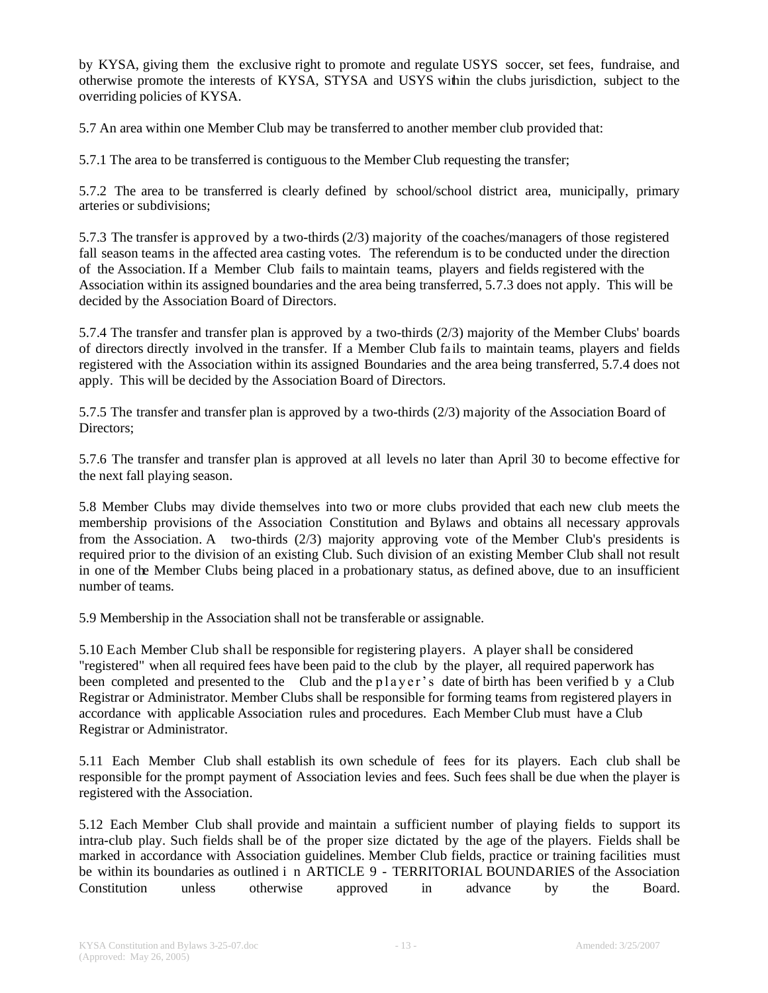by KYSA, giving them the exclusive right to promote and regulate USYS soccer, set fees, fundraise, and otherwise promote the interests of KYSA, STYSA and USYS within the clubs jurisdiction, subject to the overriding policies of KYSA.

5.7 An area within one Member Club may be transferred to another member club provided that:

5.7.1 The area to be transferred is contiguous to the Member Club requesting the transfer;

5.7.2 The area to be transferred is clearly defined by school/school district area, municipally, primary arteries or subdivisions;

5.7.3 The transfer is approved by a two-thirds (2/3) majority of the coaches/managers of those registered fall season teams in the affected area casting votes. The referendum is to be conducted under the direction of the Association. If a Member Club fails to maintain teams, players and fields registered with the Association within its assigned boundaries and the area being transferred, 5.7.3 does not apply. This will be decided by the Association Board of Directors.

5.7.4 The transfer and transfer plan is approved by a two-thirds (2/3) majority of the Member Clubs' boards of directors directly involved in the transfer. If a Member Club fa ils to maintain teams, players and fields registered with the Association within its assigned Boundaries and the area being transferred, 5.7.4 does not apply. This will be decided by the Association Board of Directors.

5.7.5 The transfer and transfer plan is approved by a two-thirds (2/3) majority of the Association Board of Directors;

5.7.6 The transfer and transfer plan is approved at all levels no later than April 30 to become effective for the next fall playing season.

5.8 Member Clubs may divide themselves into two or more clubs provided that each new club meets the membership provisions of the Association Constitution and Bylaws and obtains all necessary approvals from the Association. A two-thirds (2/3) majority approving vote of the Member Club's presidents is required prior to the division of an existing Club. Such division of an existing Member Club shall not result in one of the Member Clubs being placed in a probationary status, as defined above, due to an insufficient number of teams.

5.9 Membership in the Association shall not be transferable or assignable.

5.10 Each Member Club shall be responsible for registering players. A player shall be considered "registered" when all required fees have been paid to the club by the player, all required paperwork has been completed and presented to the Club and the player's date of birth has been verified by a Club Registrar or Administrator. Member Clubs shall be responsible for forming teams from registered players in accordance with applicable Association rules and procedures. Each Member Club must have a Club Registrar or Administrator.

5.11 Each Member Club shall establish its own schedule of fees for its players. Each club shall be responsible for the prompt payment of Association levies and fees. Such fees shall be due when the player is registered with the Association.

5.12 Each Member Club shall provide and maintain a sufficient number of playing fields to support its intra-club play. Such fields shall be of the proper size dictated by the age of the players. Fields shall be marked in accordance with Association guidelines. Member Club fields, practice or training facilities must be within its boundaries as outlined i n ARTICLE 9 - TERRITORIAL BOUNDARIES of the Association Constitution unless otherwise approved in advance by the Board.